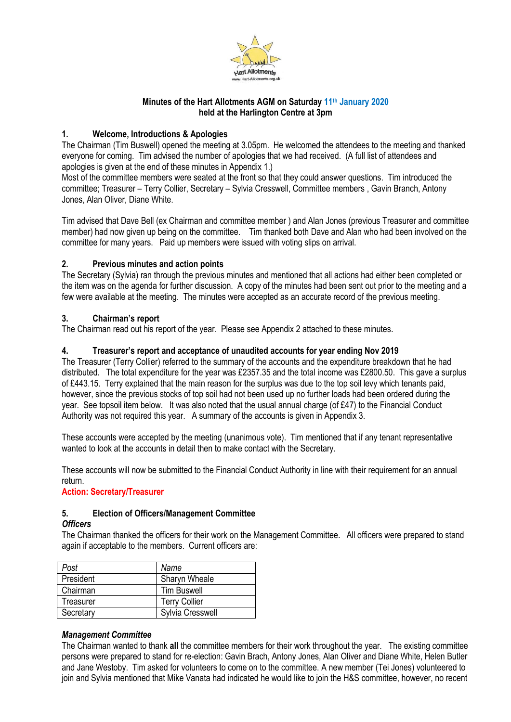

### **Minutes of the Hart Allotments AGM on Saturday 11 th January 2020 held at the Harlington Centre at 3pm**

# **1. Welcome, Introductions & Apologies**

The Chairman (Tim Buswell) opened the meeting at 3.05pm. He welcomed the attendees to the meeting and thanked everyone for coming. Tim advised the number of apologies that we had received. (A full list of attendees and apologies is given at the end of these minutes in Appendix 1.)

Most of the committee members were seated at the front so that they could answer questions. Tim introduced the committee; Treasurer – Terry Collier, Secretary – Sylvia Cresswell, Committee members , Gavin Branch, Antony Jones, Alan Oliver, Diane White.

Tim advised that Dave Bell (ex Chairman and committee member ) and Alan Jones (previous Treasurer and committee member) had now given up being on the committee. Tim thanked both Dave and Alan who had been involved on the committee for many years. Paid up members were issued with voting slips on arrival.

# **2. Previous minutes and action points**

The Secretary (Sylvia) ran through the previous minutes and mentioned that all actions had either been completed or the item was on the agenda for further discussion. A copy of the minutes had been sent out prior to the meeting and a few were available at the meeting. The minutes were accepted as an accurate record of the previous meeting.

# **3. Chairman's report**

The Chairman read out his report of the year. Please see Appendix 2 attached to these minutes.

# **4. Treasurer's report and acceptance of unaudited accounts for year ending Nov 2019**

The Treasurer (Terry Collier) referred to the summary of the accounts and the expenditure breakdown that he had distributed. The total expenditure for the year was £2357.35 and the total income was £2800.50. This gave a surplus of £443.15. Terry explained that the main reason for the surplus was due to the top soil levy which tenants paid, however, since the previous stocks of top soil had not been used up no further loads had been ordered during the year. See topsoil item below. It was also noted that the usual annual charge (of £47) to the Financial Conduct Authority was not required this year. A summary of the accounts is given in Appendix 3.

These accounts were accepted by the meeting (unanimous vote). Tim mentioned that if any tenant representative wanted to look at the accounts in detail then to make contact with the Secretary.

These accounts will now be submitted to the Financial Conduct Authority in line with their requirement for an annual return.

**Action: Secretary/Treasurer**

# **5. Election of Officers/Management Committee**

## *Officers*

The Chairman thanked the officers for their work on the Management Committee. All officers were prepared to stand again if acceptable to the members. Current officers are:

| Post      | Name                 |
|-----------|----------------------|
| President | Sharyn Wheale        |
| Chairman  | <b>Tim Buswell</b>   |
| Treasurer | <b>Terry Collier</b> |
| Secretary | Sylvia Cresswell     |

# *Management Committee*

The Chairman wanted to thank **all** the committee members for their work throughout the year. The existing committee persons were prepared to stand for re-election: Gavin Brach, Antony Jones, Alan Oliver and Diane White, Helen Butler and Jane Westoby. Tim asked for volunteers to come on to the committee. A new member (Tei Jones) volunteered to join and Sylvia mentioned that Mike Vanata had indicated he would like to join the H&S committee, however, no recent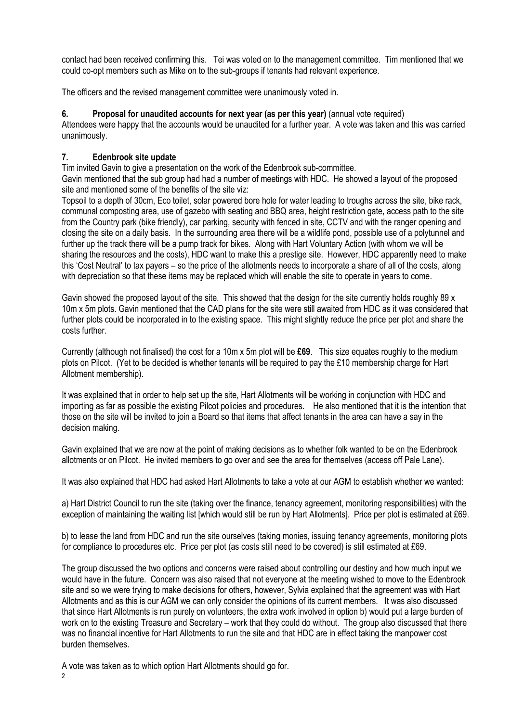contact had been received confirming this. Tei was voted on to the management committee. Tim mentioned that we could co-opt members such as Mike on to the sub-groups if tenants had relevant experience.

The officers and the revised management committee were unanimously voted in.

# **6. Proposal for unaudited accounts for next year (as per this year)** (annual vote required)

Attendees were happy that the accounts would be unaudited for a further year. A vote was taken and this was carried unanimously.

# **7. Edenbrook site update**

Tim invited Gavin to give a presentation on the work of the Edenbrook sub-committee.

Gavin mentioned that the sub group had had a number of meetings with HDC. He showed a layout of the proposed site and mentioned some of the benefits of the site viz:

Topsoil to a depth of 30cm, Eco toilet, solar powered bore hole for water leading to troughs across the site, bike rack, communal composting area, use of gazebo with seating and BBQ area, height restriction gate, access path to the site from the Country park (bike friendly), car parking, security with fenced in site, CCTV and with the ranger opening and closing the site on a daily basis. In the surrounding area there will be a wildlife pond, possible use of a polytunnel and further up the track there will be a pump track for bikes. Along with Hart Voluntary Action (with whom we will be sharing the resources and the costs), HDC want to make this a prestige site. However, HDC apparently need to make this 'Cost Neutral' to tax payers – so the price of the allotments needs to incorporate a share of all of the costs, along with depreciation so that these items may be replaced which will enable the site to operate in years to come.

Gavin showed the proposed layout of the site. This showed that the design for the site currently holds roughly 89 x 10m x 5m plots. Gavin mentioned that the CAD plans for the site were still awaited from HDC as it was considered that further plots could be incorporated in to the existing space. This might slightly reduce the price per plot and share the costs further.

Currently (although not finalised) the cost for a 10m x 5m plot will be **£69**. This size equates roughly to the medium plots on Pilcot. (Yet to be decided is whether tenants will be required to pay the £10 membership charge for Hart Allotment membership).

It was explained that in order to help set up the site, Hart Allotments will be working in conjunction with HDC and importing as far as possible the existing Pilcot policies and procedures. He also mentioned that it is the intention that those on the site will be invited to join a Board so that items that affect tenants in the area can have a say in the decision making.

Gavin explained that we are now at the point of making decisions as to whether folk wanted to be on the Edenbrook allotments or on Pilcot. He invited members to go over and see the area for themselves (access off Pale Lane).

It was also explained that HDC had asked Hart Allotments to take a vote at our AGM to establish whether we wanted:

a) Hart District Council to run the site (taking over the finance, tenancy agreement, monitoring responsibilities) with the exception of maintaining the waiting list [which would still be run by Hart Allotments]. Price per plot is estimated at £69.

b) to lease the land from HDC and run the site ourselves (taking monies, issuing tenancy agreements, monitoring plots for compliance to procedures etc. Price per plot (as costs still need to be covered) is still estimated at £69.

The group discussed the two options and concerns were raised about controlling our destiny and how much input we would have in the future. Concern was also raised that not everyone at the meeting wished to move to the Edenbrook site and so we were trying to make decisions for others, however, Sylvia explained that the agreement was with Hart Allotments and as this is our AGM we can only consider the opinions of its current members. It was also discussed that since Hart Allotments is run purely on volunteers, the extra work involved in option b) would put a large burden of work on to the existing Treasure and Secretary – work that they could do without. The group also discussed that there was no financial incentive for Hart Allotments to run the site and that HDC are in effect taking the manpower cost burden themselves.

A vote was taken as to which option Hart Allotments should go for.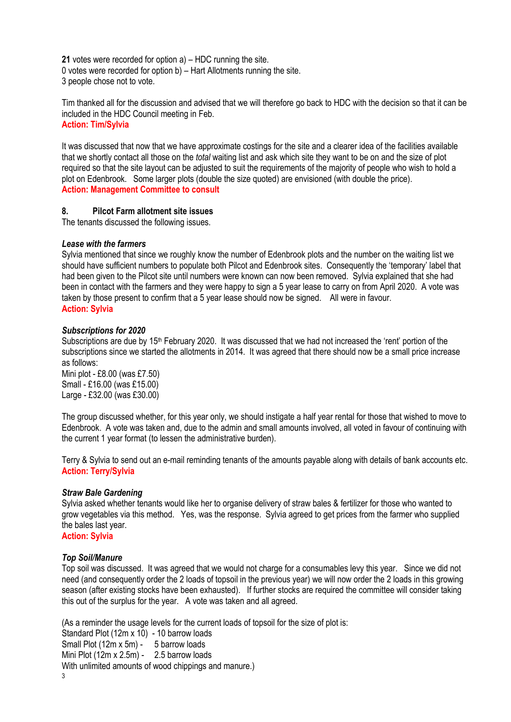**21** votes were recorded for option a) – HDC running the site. 0 votes were recorded for option b) – Hart Allotments running the site. 3 people chose not to vote.

Tim thanked all for the discussion and advised that we will therefore go back to HDC with the decision so that it can be included in the HDC Council meeting in Feb. **Action: Tim/Sylvia**

It was discussed that now that we have approximate costings for the site and a clearer idea of the facilities available that we shortly contact all those on the *total* waiting list and ask which site they want to be on and the size of plot required so that the site layout can be adjusted to suit the requirements of the majority of people who wish to hold a plot on Edenbrook. Some larger plots (double the size quoted) are envisioned (with double the price). **Action: Management Committee to consult**

### **8. Pilcot Farm allotment site issues**

The tenants discussed the following issues.

#### *Lease with the farmers*

Sylvia mentioned that since we roughly know the number of Edenbrook plots and the number on the waiting list we should have sufficient numbers to populate both Pilcot and Edenbrook sites. Consequently the 'temporary' label that had been given to the Pilcot site until numbers were known can now been removed. Sylvia explained that she had been in contact with the farmers and they were happy to sign a 5 year lease to carry on from April 2020. A vote was taken by those present to confirm that a 5 year lease should now be signed. All were in favour. **Action: Sylvia**

#### *Subscriptions for 2020*

Subscriptions are due by 15<sup>th</sup> February 2020. It was discussed that we had not increased the 'rent' portion of the subscriptions since we started the allotments in 2014. It was agreed that there should now be a small price increase as follows:

Mini plot - £8.00 (was £7.50) Small - £16.00 (was £15.00) Large - £32.00 (was £30.00)

The group discussed whether, for this year only, we should instigate a half year rental for those that wished to move to Edenbrook. A vote was taken and, due to the admin and small amounts involved, all voted in favour of continuing with the current 1 year format (to lessen the administrative burden).

Terry & Sylvia to send out an e-mail reminding tenants of the amounts payable along with details of bank accounts etc. **Action: Terry/Sylvia**

#### *Straw Bale Gardening*

Sylvia asked whether tenants would like her to organise delivery of straw bales & fertilizer for those who wanted to grow vegetables via this method. Yes, was the response. Sylvia agreed to get prices from the farmer who supplied the bales last year.

# **Action: Sylvia**

#### *Top Soil/Manure*

Top soil was discussed. It was agreed that we would not charge for a consumables levy this year. Since we did not need (and consequently order the 2 loads of topsoil in the previous year) we will now order the 2 loads in this growing season (after existing stocks have been exhausted). If further stocks are required the committee will consider taking this out of the surplus for the year. A vote was taken and all agreed.

(As a reminder the usage levels for the current loads of topsoil for the size of plot is:

Standard Plot (12m x 10) - 10 barrow loads Small Plot  $(12m \times 5m) - 5$  barrow loads Mini Plot  $(12m \times 2.5m)$  - 2.5 barrow loads With unlimited amounts of wood chippings and manure.)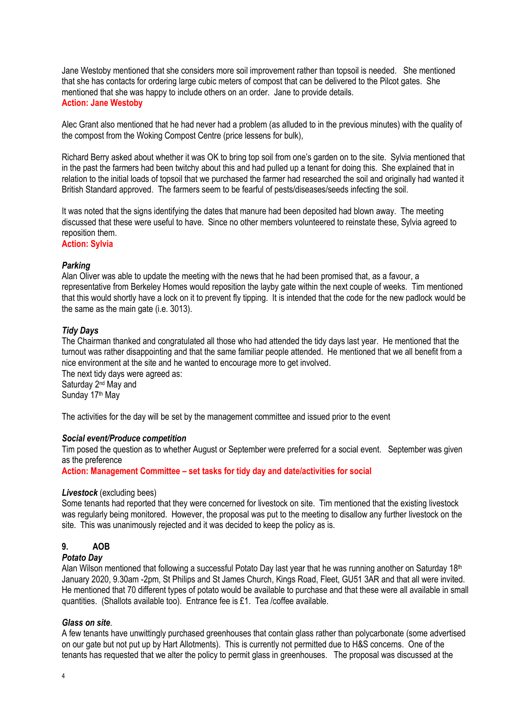Jane Westoby mentioned that she considers more soil improvement rather than topsoil is needed. She mentioned that she has contacts for ordering large cubic meters of compost that can be delivered to the Pilcot gates. She mentioned that she was happy to include others on an order. Jane to provide details. **Action: Jane Westoby**

Alec Grant also mentioned that he had never had a problem (as alluded to in the previous minutes) with the quality of the compost from the Woking Compost Centre (price lessens for bulk),

Richard Berry asked about whether it was OK to bring top soil from one's garden on to the site. Sylvia mentioned that in the past the farmers had been twitchy about this and had pulled up a tenant for doing this. She explained that in relation to the initial loads of topsoil that we purchased the farmer had researched the soil and originally had wanted it British Standard approved. The farmers seem to be fearful of pests/diseases/seeds infecting the soil.

It was noted that the signs identifying the dates that manure had been deposited had blown away. The meeting discussed that these were useful to have. Since no other members volunteered to reinstate these, Sylvia agreed to reposition them.

#### **Action: Sylvia**

### *Parking*

Alan Oliver was able to update the meeting with the news that he had been promised that, as a favour, a representative from Berkeley Homes would reposition the layby gate within the next couple of weeks. Tim mentioned that this would shortly have a lock on it to prevent fly tipping. It is intended that the code for the new padlock would be the same as the main gate (i.e. 3013).

### *Tidy Days*

The Chairman thanked and congratulated all those who had attended the tidy days last year. He mentioned that the turnout was rather disappointing and that the same familiar people attended. He mentioned that we all benefit from a nice environment at the site and he wanted to encourage more to get involved.

The next tidy days were agreed as: Saturday 2<sup>nd</sup> May and Sunday 17<sup>th</sup> May

The activities for the day will be set by the management committee and issued prior to the event

#### *Social event/Produce competition*

Tim posed the question as to whether August or September were preferred for a social event. September was given as the preference

**Action: Management Committee – set tasks for tidy day and date/activities for social**

#### *Livestock* (excluding bees)

Some tenants had reported that they were concerned for livestock on site. Tim mentioned that the existing livestock was regularly being monitored. However, the proposal was put to the meeting to disallow any further livestock on the site. This was unanimously rejected and it was decided to keep the policy as is.

# **9. AOB**

#### *Potato Day*

Alan Wilson mentioned that following a successful Potato Day last year that he was running another on Saturday 18<sup>th</sup> January 2020, 9.30am -2pm, St Philips and St James Church, Kings Road, Fleet, GU51 3AR and that all were invited. He mentioned that 70 different types of potato would be available to purchase and that these were all available in small quantities. (Shallots available too). Entrance fee is £1. Tea /coffee available.

# *Glass on site*.

A few tenants have unwittingly purchased greenhouses that contain glass rather than polycarbonate (some advertised on our gate but not put up by Hart Allotments). This is currently not permitted due to H&S concerns. One of the tenants has requested that we alter the policy to permit glass in greenhouses. The proposal was discussed at the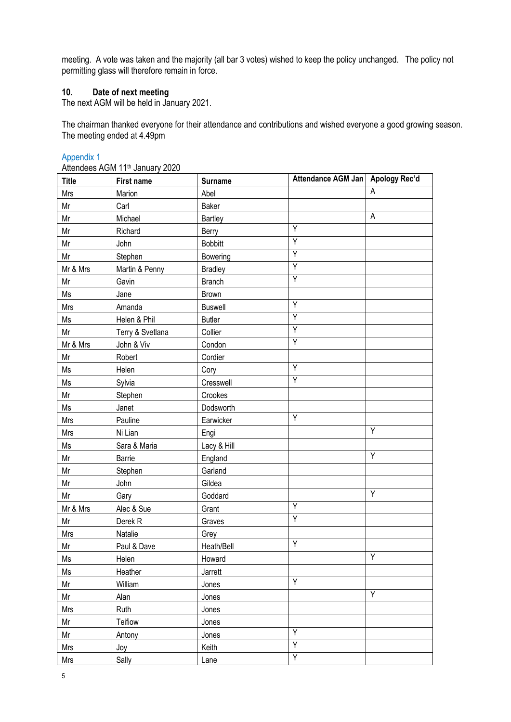meeting. A vote was taken and the majority (all bar 3 votes) wished to keep the policy unchanged. The policy not permitting glass will therefore remain in force.

# **10. Date of next meeting**

The next AGM will be held in January 2021.

The chairman thanked everyone for their attendance and contributions and wished everyone a good growing season. The meeting ended at 4.49pm

# Appendix 1

Attendees AGM 11<sup>th</sup> January 2020

| <b>Title</b> | <b>First name</b>  | <b>Surname</b> | Attendance AGM Jan   Apology Rec'd |                |
|--------------|--------------------|----------------|------------------------------------|----------------|
| Mrs          | Marion             | Abel           |                                    | A              |
| Mr           | Carl               | Baker          |                                    |                |
| Mr           | Michael            | Bartley        |                                    | $\overline{A}$ |
| Mr           | Richard            | Berry          | Y                                  |                |
| Mr           | John               | <b>Bobbitt</b> | Y                                  |                |
| Mr           | Stephen            | Bowering       | Ÿ                                  |                |
| Mr & Mrs     | Martin & Penny     | <b>Bradley</b> | $\overline{Y}$                     |                |
| Mr           | Gavin              | <b>Branch</b>  | Y                                  |                |
| Ms           | Jane               | Brown          |                                    |                |
| Mrs          | Amanda             | <b>Buswell</b> | Y                                  |                |
| Ms           | Helen & Phil       | <b>Butler</b>  | Y                                  |                |
| Mr           | Terry & Svetlana   | Collier        | $\overline{Y}$                     |                |
| Mr & Mrs     | John & Viv         | Condon         | Y                                  |                |
| Mr           | Robert             | Cordier        |                                    |                |
| Ms           | Helen              | Cory           | $\overline{Y}$                     |                |
| Ms           | Sylvia             | Cresswell      | Y                                  |                |
| Mr           | Stephen            | Crookes        |                                    |                |
| Ms           | Janet              | Dodsworth      |                                    |                |
| Mrs          | Pauline            | Earwicker      | Y                                  |                |
| Mrs          | Ni Lian            | Engi           |                                    | Y              |
| Ms           | Sara & Maria       | Lacy & Hill    |                                    |                |
| Mr           | Barrie             | England        |                                    | Y              |
| Mr           | Stephen            | Garland        |                                    |                |
| Mr           | John               | Gildea         |                                    |                |
| Mr           | Gary               | Goddard        |                                    | Y              |
| Mr & Mrs     | Alec & Sue         | Grant          | Y                                  |                |
| Mr           | Derek <sub>R</sub> | Graves         | $\overline{Y}$                     |                |
| Mrs          | Natalie            | Grey           |                                    |                |
| Mr           | Paul & Dave        | Heath/Bell     | Υ                                  |                |
| Ms           | Helen              | Howard         |                                    | $\overline{Y}$ |
| Ms           | Heather            | Jarrett        |                                    |                |
| Mr           | William            | Jones          | $\overline{Y}$                     |                |
| Mr           | Alan               | Jones          |                                    | $\overline{Y}$ |
| Mrs          | Ruth               | Jones          |                                    |                |
| Mr           | Teifiow            | Jones          |                                    |                |
| Mr           | Antony             | Jones          | Y                                  |                |
| Mrs          | Joy                | Keith          | Ÿ                                  |                |
| Mrs          | Sally              | Lane           | Y                                  |                |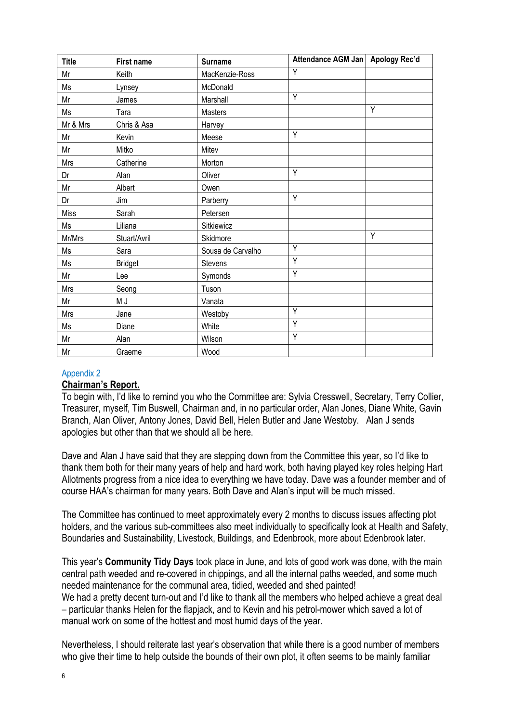| <b>Title</b> | <b>First name</b> | <b>Surname</b>    | Attendance AGM Jan   Apology Rec'd |   |
|--------------|-------------------|-------------------|------------------------------------|---|
| Mr           | Keith             | MacKenzie-Ross    | Y                                  |   |
| Ms           | Lynsey            | McDonald          |                                    |   |
| Mr           | James             | Marshall          | Y                                  |   |
| Ms           | Tara              | Masters           |                                    | Y |
| Mr & Mrs     | Chris & Asa       | Harvey            |                                    |   |
| Mr           | Kevin             | Meese             | Y                                  |   |
| Mr           | Mitko             | Mitev             |                                    |   |
| Mrs          | Catherine         | Morton            |                                    |   |
| Dr           | Alan              | Oliver            | Y                                  |   |
| Mr           | Albert            | Owen              |                                    |   |
| Dr           | Jim               | Parberry          | Y                                  |   |
| <b>Miss</b>  | Sarah             | Petersen          |                                    |   |
| Ms           | Liliana           | Sitkiewicz        |                                    |   |
| Mr/Mrs       | Stuart/Avril      | Skidmore          |                                    | Y |
| Ms           | Sara              | Sousa de Carvalho | Y                                  |   |
| Ms           | <b>Bridget</b>    | Stevens           | Y                                  |   |
| Mr           | Lee               | Symonds           | Ÿ                                  |   |
| Mrs          | Seong             | Tuson             |                                    |   |
| Mr           | M J               | Vanata            |                                    |   |
| Mrs          | Jane              | Westoby           | Y                                  |   |
| Ms           | Diane             | White             | Υ                                  |   |
| Mr           | Alan              | Wilson            | Y                                  |   |
| Mr           | Graeme            | Wood              |                                    |   |

# Appendix 2

# **Chairman's Report.**

To begin with, I'd like to remind you who the Committee are: Sylvia Cresswell, Secretary, Terry Collier, Treasurer, myself, Tim Buswell, Chairman and, in no particular order, Alan Jones, Diane White, Gavin Branch, Alan Oliver, Antony Jones, David Bell, Helen Butler and Jane Westoby. Alan J sends apologies but other than that we should all be here.

Dave and Alan J have said that they are stepping down from the Committee this year, so I'd like to thank them both for their many years of help and hard work, both having played key roles helping Hart Allotments progress from a nice idea to everything we have today. Dave was a founder member and of course HAA's chairman for many years. Both Dave and Alan's input will be much missed.

The Committee has continued to meet approximately every 2 months to discuss issues affecting plot holders, and the various sub-committees also meet individually to specifically look at Health and Safety, Boundaries and Sustainability, Livestock, Buildings, and Edenbrook, more about Edenbrook later.

This year's **Community Tidy Days** took place in June, and lots of good work was done, with the main central path weeded and re-covered in chippings, and all the internal paths weeded, and some much needed maintenance for the communal area, tidied, weeded and shed painted!

We had a pretty decent turn-out and I'd like to thank all the members who helped achieve a great deal – particular thanks Helen for the flapjack, and to Kevin and his petrol-mower which saved a lot of manual work on some of the hottest and most humid days of the year.

Nevertheless, I should reiterate last year's observation that while there is a good number of members who give their time to help outside the bounds of their own plot, it often seems to be mainly familiar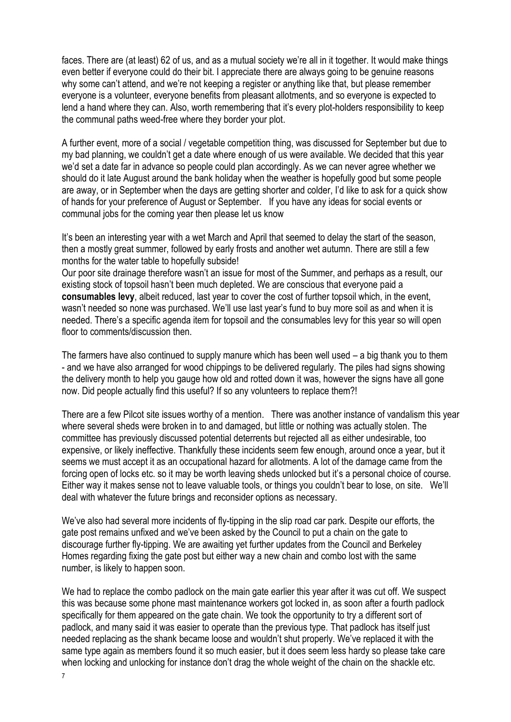faces. There are (at least) 62 of us, and as a mutual society we're all in it together. It would make things even better if everyone could do their bit. I appreciate there are always going to be genuine reasons why some can't attend, and we're not keeping a register or anything like that, but please remember everyone is a volunteer, everyone benefits from pleasant allotments, and so everyone is expected to lend a hand where they can. Also, worth remembering that it's every plot-holders responsibility to keep the communal paths weed-free where they border your plot.

A further event, more of a social / vegetable competition thing, was discussed for September but due to my bad planning, we couldn't get a date where enough of us were available. We decided that this year we'd set a date far in advance so people could plan accordingly. As we can never agree whether we should do it late August around the bank holiday when the weather is hopefully good but some people are away, or in September when the days are getting shorter and colder, I'd like to ask for a quick show of hands for your preference of August or September. If you have any ideas for social events or communal jobs for the coming year then please let us know

It's been an interesting year with a wet March and April that seemed to delay the start of the season, then a mostly great summer, followed by early frosts and another wet autumn. There are still a few months for the water table to hopefully subside!

Our poor site drainage therefore wasn't an issue for most of the Summer, and perhaps as a result, our existing stock of topsoil hasn't been much depleted. We are conscious that everyone paid a **consumables levy**, albeit reduced, last year to cover the cost of further topsoil which, in the event, wasn't needed so none was purchased. We'll use last year's fund to buy more soil as and when it is needed. There's a specific agenda item for topsoil and the consumables levy for this year so will open floor to comments/discussion then.

The farmers have also continued to supply manure which has been well used – a big thank you to them - and we have also arranged for wood chippings to be delivered regularly. The piles had signs showing the delivery month to help you gauge how old and rotted down it was, however the signs have all gone now. Did people actually find this useful? If so any volunteers to replace them?!

There are a few Pilcot site issues worthy of a mention. There was another instance of vandalism this year where several sheds were broken in to and damaged, but little or nothing was actually stolen. The committee has previously discussed potential deterrents but rejected all as either undesirable, too expensive, or likely ineffective. Thankfully these incidents seem few enough, around once a year, but it seems we must accept it as an occupational hazard for allotments. A lot of the damage came from the forcing open of locks etc. so it may be worth leaving sheds unlocked but it's a personal choice of course. Either way it makes sense not to leave valuable tools, or things you couldn't bear to lose, on site. We'll deal with whatever the future brings and reconsider options as necessary.

We've also had several more incidents of fly-tipping in the slip road car park. Despite our efforts, the gate post remains unfixed and we've been asked by the Council to put a chain on the gate to discourage further fly-tipping. We are awaiting yet further updates from the Council and Berkeley Homes regarding fixing the gate post but either way a new chain and combo lost with the same number, is likely to happen soon.

We had to replace the combo padlock on the main gate earlier this year after it was cut off. We suspect this was because some phone mast maintenance workers got locked in, as soon after a fourth padlock specifically for them appeared on the gate chain. We took the opportunity to try a different sort of padlock, and many said it was easier to operate than the previous type. That padlock has itself just needed replacing as the shank became loose and wouldn't shut properly. We've replaced it with the same type again as members found it so much easier, but it does seem less hardy so please take care when locking and unlocking for instance don't drag the whole weight of the chain on the shackle etc.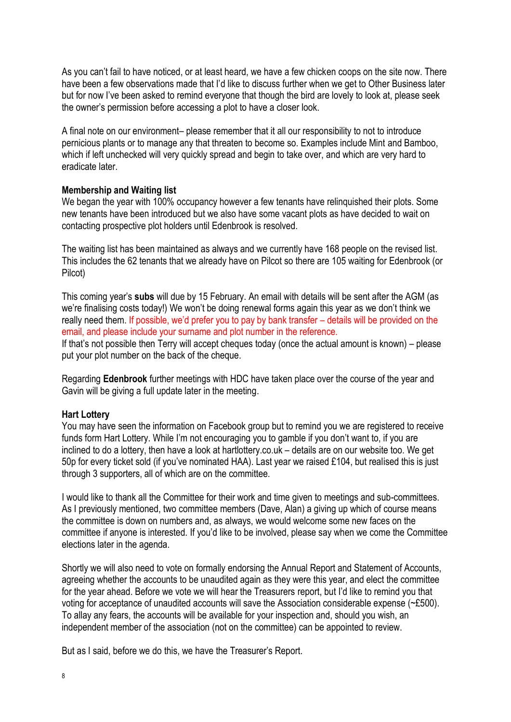As you can't fail to have noticed, or at least heard, we have a few chicken coops on the site now. There have been a few observations made that I'd like to discuss further when we get to Other Business later but for now I've been asked to remind everyone that though the bird are lovely to look at, please seek the owner's permission before accessing a plot to have a closer look.

A final note on our environment– please remember that it all our responsibility to not to introduce pernicious plants or to manage any that threaten to become so. Examples include Mint and Bamboo, which if left unchecked will very quickly spread and begin to take over, and which are very hard to eradicate later.

# **Membership and Waiting list**

We began the year with 100% occupancy however a few tenants have relinquished their plots. Some new tenants have been introduced but we also have some vacant plots as have decided to wait on contacting prospective plot holders until Edenbrook is resolved.

The waiting list has been maintained as always and we currently have 168 people on the revised list. This includes the 62 tenants that we already have on Pilcot so there are 105 waiting for Edenbrook (or Pilcot)

This coming year's **subs** will due by 15 February. An email with details will be sent after the AGM (as we're finalising costs today!) We won't be doing renewal forms again this year as we don't think we really need them. If possible, we'd prefer you to pay by bank transfer – details will be provided on the email, and please include your surname and plot number in the reference. If that's not possible then Terry will accept cheques today (once the actual amount is known) – please

put your plot number on the back of the cheque.

Regarding **Edenbrook** further meetings with HDC have taken place over the course of the year and Gavin will be giving a full update later in the meeting.

#### **Hart Lottery**

You may have seen the information on Facebook group but to remind you we are registered to receive funds form Hart Lottery. While I'm not encouraging you to gamble if you don't want to, if you are inclined to do a lottery, then have a look at hartlottery.co.uk – details are on our website too. We get 50p for every ticket sold (if you've nominated HAA). Last year we raised £104, but realised this is just through 3 supporters, all of which are on the committee.

I would like to thank all the Committee for their work and time given to meetings and sub-committees. As I previously mentioned, two committee members (Dave, Alan) a giving up which of course means the committee is down on numbers and, as always, we would welcome some new faces on the committee if anyone is interested. If you'd like to be involved, please say when we come the Committee elections later in the agenda.

Shortly we will also need to vote on formally endorsing the Annual Report and Statement of Accounts, agreeing whether the accounts to be unaudited again as they were this year, and elect the committee for the year ahead. Before we vote we will hear the Treasurers report, but I'd like to remind you that voting for acceptance of unaudited accounts will save the Association considerable expense (~£500). To allay any fears, the accounts will be available for your inspection and, should you wish, an independent member of the association (not on the committee) can be appointed to review.

But as I said, before we do this, we have the Treasurer's Report.